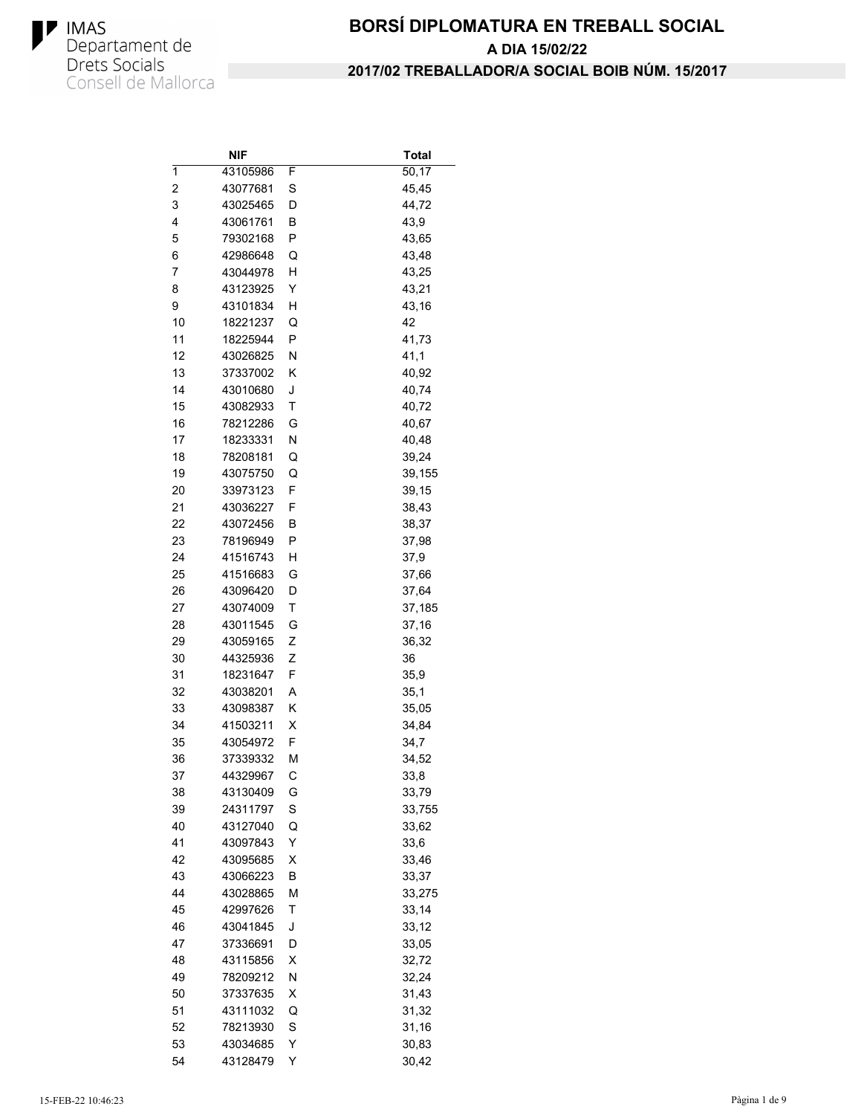

|                | NIF      |   | Total  |
|----------------|----------|---|--------|
| 1              | 43105986 | F | 50,17  |
| $\overline{c}$ | 43077681 | S | 45,45  |
| 3              | 43025465 | D | 44,72  |
| 4              | 43061761 | В | 43,9   |
| 5              | 79302168 | P | 43,65  |
| 6              | 42986648 | Q | 43,48  |
| 7              | 43044978 | н | 43,25  |
| 8              | 43123925 | Y | 43,21  |
| 9              | 43101834 | н | 43,16  |
| 10             | 18221237 | Q | 42     |
| 11             | 18225944 | P | 41,73  |
| 12             | 43026825 | Ν | 41,1   |
| 13             | 37337002 | Κ | 40,92  |
| 14             | 43010680 | J | 40,74  |
| 15             | 43082933 | Τ | 40,72  |
| 16             | 78212286 | G | 40,67  |
| 17             | 18233331 | Ν | 40,48  |
| 18             | 78208181 | Q | 39,24  |
| 19             | 43075750 | Q | 39,155 |
| 20             | 33973123 | F | 39,15  |
| 21             | 43036227 | F | 38,43  |
| 22             | 43072456 | В | 38,37  |
| 23             | 78196949 | Ρ | 37,98  |
| 24             | 41516743 | Н | 37,9   |
| 25             | 41516683 | G |        |
| 26             |          |   | 37,66  |
|                | 43096420 | D | 37,64  |
| 27             | 43074009 | Τ | 37,185 |
| 28             | 43011545 | G | 37,16  |
| 29             | 43059165 | Ζ | 36,32  |
| 30             | 44325936 | Z | 36     |
| 31             | 18231647 | F | 35,9   |
| 32             | 43038201 | Α | 35,1   |
| 33             | 43098387 | Κ | 35,05  |
| 34             | 41503211 | X | 34,84  |
| 35             | 43054972 | F | 34,7   |
| 36             | 37339332 | М | 34,52  |
| 37             | 44329967 | С | 33,8   |
| 38             | 43130409 | G | 33,79  |
| 39             | 24311797 | S | 33,755 |
| 40             | 43127040 | Q | 33,62  |
| 41             | 43097843 | Υ | 33,6   |
| 42             | 43095685 | Χ | 33,46  |
| 43             | 43066223 | В | 33,37  |
| 44             | 43028865 | M | 33,275 |
| 45             | 42997626 | Τ | 33,14  |
| 46             | 43041845 | J | 33,12  |
| 47             | 37336691 | D | 33,05  |
| 48             | 43115856 | Χ | 32,72  |
| 49             | 78209212 | Ν | 32,24  |
| 50             | 37337635 | X | 31,43  |
| 51             | 43111032 | Q | 31,32  |
| 52             | 78213930 | S | 31,16  |
| 53             | 43034685 | Y | 30,83  |
| 54             | 43128479 | Υ | 30,42  |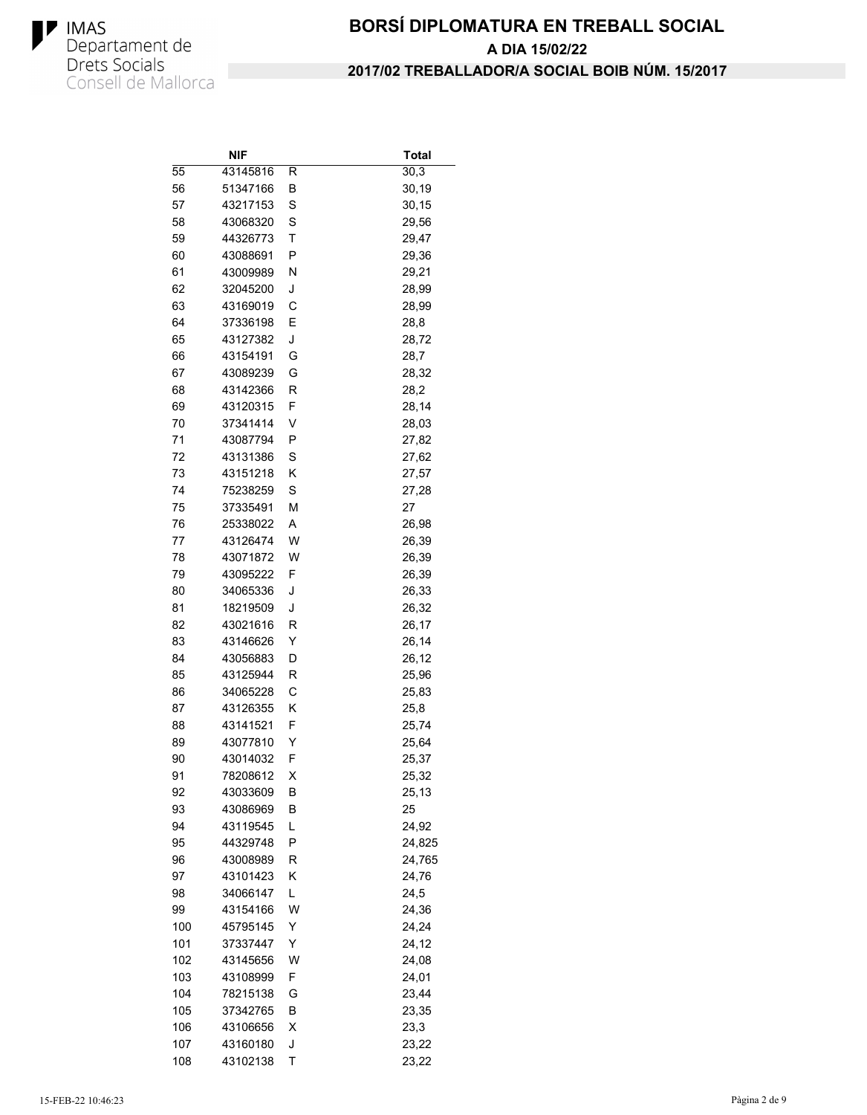

|     | NIF      |   | Total  |
|-----|----------|---|--------|
| 55  | 43145816 | R | 30,3   |
| 56  | 51347166 | В | 30,19  |
| 57  | 43217153 | S | 30,15  |
| 58  | 43068320 | S | 29,56  |
| 59  | 44326773 | Τ | 29,47  |
| 60  | 43088691 | P | 29,36  |
| 61  | 43009989 | Ν | 29,21  |
| 62  | 32045200 | J | 28,99  |
| 63  | 43169019 | C | 28,99  |
| 64  | 37336198 | E | 28,8   |
| 65  | 43127382 | J | 28,72  |
| 66  | 43154191 | G | 28,7   |
| 67  | 43089239 | G | 28,32  |
| 68  | 43142366 | R | 28,2   |
| 69  | 43120315 | F | 28,14  |
| 70  | 37341414 | V | 28,03  |
| 71  | 43087794 | P | 27,82  |
| 72  | 43131386 | S | 27,62  |
| 73  | 43151218 | Κ | 27,57  |
| 74  | 75238259 | S | 27,28  |
| 75  | 37335491 | M | 27     |
| 76  | 25338022 | Α | 26,98  |
| 77  | 43126474 | W | 26,39  |
| 78  | 43071872 | W | 26,39  |
| 79  | 43095222 | F | 26,39  |
| 80  | 34065336 | J | 26,33  |
| 81  | 18219509 | J | 26,32  |
| 82  | 43021616 | R | 26,17  |
| 83  | 43146626 | Υ | 26,14  |
| 84  | 43056883 | D | 26,12  |
| 85  | 43125944 | R | 25,96  |
| 86  | 34065228 | C | 25,83  |
| 87  | 43126355 | Κ | 25,8   |
| 88  | 43141521 | F | 25,74  |
| 89  | 43077810 | Υ | 25,64  |
| 90  | 43014032 | F | 25,37  |
| 91  | 78208612 | х | 25,32  |
| 92  | 43033609 | В | 25,13  |
| 93  | 43086969 | B | 25     |
| 94  | 43119545 | L | 24,92  |
| 95  | 44329748 | Ρ | 24,825 |
| 96  | 43008989 | R | 24,765 |
| 97  | 43101423 | Κ | 24,76  |
| 98  | 34066147 | L | 24,5   |
| 99  | 43154166 | W | 24,36  |
| 100 | 45795145 | Υ | 24,24  |
| 101 | 37337447 | Υ | 24,12  |
| 102 | 43145656 | W | 24,08  |
| 103 | 43108999 | F | 24,01  |
| 104 | 78215138 | G | 23,44  |
| 105 | 37342765 | В | 23,35  |
| 106 | 43106656 | х | 23,3   |
| 107 | 43160180 | J | 23,22  |
| 108 | 43102138 | Τ | 23,22  |
|     |          |   |        |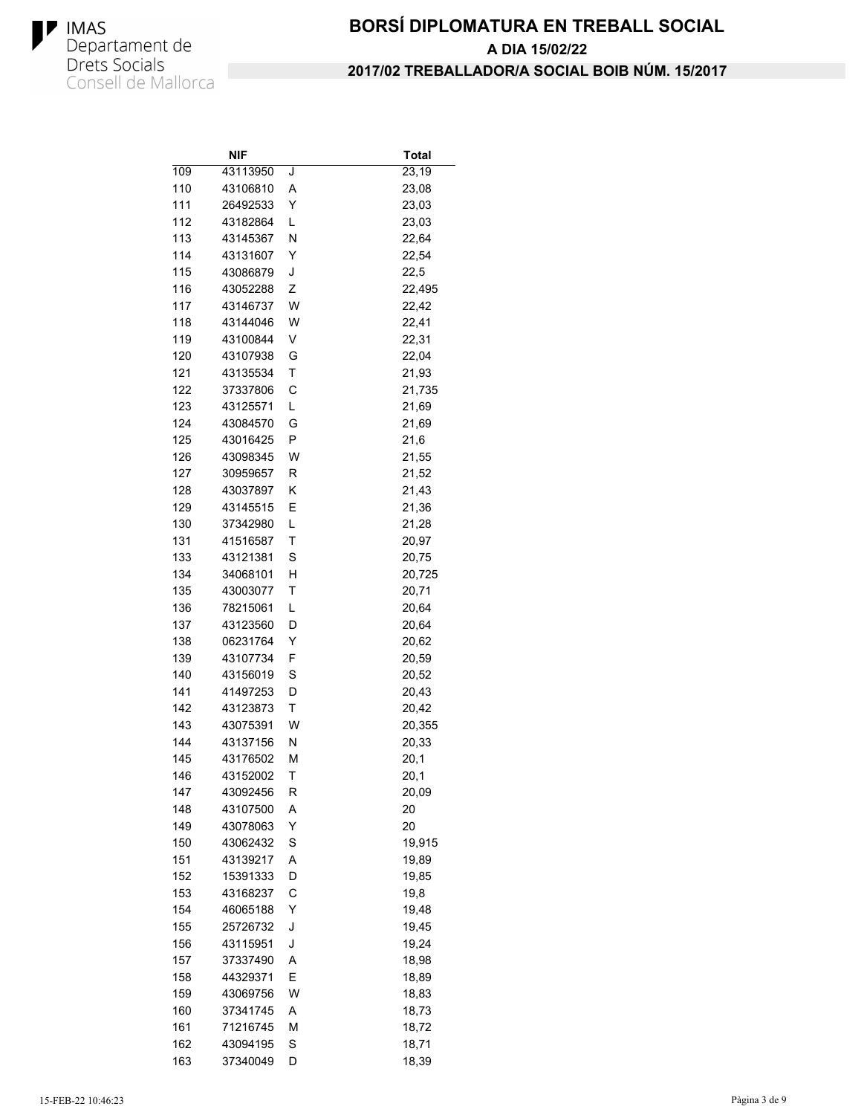

|     | NIF      |   | Total  |
|-----|----------|---|--------|
| 109 | 43113950 | J | 23,19  |
| 110 | 43106810 | Α | 23,08  |
| 111 | 26492533 | Y | 23,03  |
| 112 | 43182864 | L | 23,03  |
| 113 | 43145367 | N | 22,64  |
| 114 | 43131607 | Y | 22,54  |
| 115 | 43086879 | J | 22,5   |
| 116 | 43052288 | Ζ | 22,495 |
| 117 | 43146737 | W | 22,42  |
| 118 | 43144046 | W | 22,41  |
| 119 | 43100844 | V | 22,31  |
| 120 | 43107938 | G | 22,04  |
| 121 | 43135534 | T | 21,93  |
| 122 | 37337806 | С | 21,735 |
| 123 | 43125571 | L | 21,69  |
| 124 | 43084570 | G | 21,69  |
| 125 | 43016425 | P | 21,6   |
| 126 | 43098345 | W | 21,55  |
| 127 | 30959657 | R | 21,52  |
| 128 | 43037897 | Κ | 21,43  |
| 129 | 43145515 | E | 21,36  |
| 130 | 37342980 | L | 21,28  |
| 131 | 41516587 | Τ | 20,97  |
| 133 | 43121381 | S | 20,75  |
| 134 | 34068101 | н | 20,725 |
| 135 | 43003077 | Τ | 20,71  |
| 136 | 78215061 | L | 20,64  |
| 137 | 43123560 | D | 20,64  |
| 138 | 06231764 | Υ | 20,62  |
| 139 | 43107734 | F | 20,59  |
| 140 | 43156019 | S | 20,52  |
| 141 | 41497253 | D | 20,43  |
| 142 | 43123873 | T | 20,42  |
| 143 | 43075391 | W | 20,355 |
| 144 | 43137156 | Ν | 20,33  |
| 145 | 43176502 | М | 20,1   |
| 146 | 43152002 | Τ | 20,1   |
| 147 | 43092456 | R | 20,09  |
| 148 | 43107500 | Α | 20     |
| 149 | 43078063 | Y | 20     |
| 150 | 43062432 | S | 19,915 |
| 151 | 43139217 | Α | 19,89  |
| 152 | 15391333 | D | 19,85  |
| 153 | 43168237 | C | 19,8   |
| 154 | 46065188 | Υ | 19,48  |
| 155 | 25726732 | J | 19,45  |
| 156 | 43115951 | J | 19,24  |
| 157 | 37337490 | Α | 18,98  |
| 158 | 44329371 | Е | 18,89  |
| 159 | 43069756 | W | 18,83  |
| 160 | 37341745 | Α | 18,73  |
| 161 | 71216745 | М | 18,72  |
| 162 | 43094195 | S | 18,71  |
| 163 | 37340049 | D | 18,39  |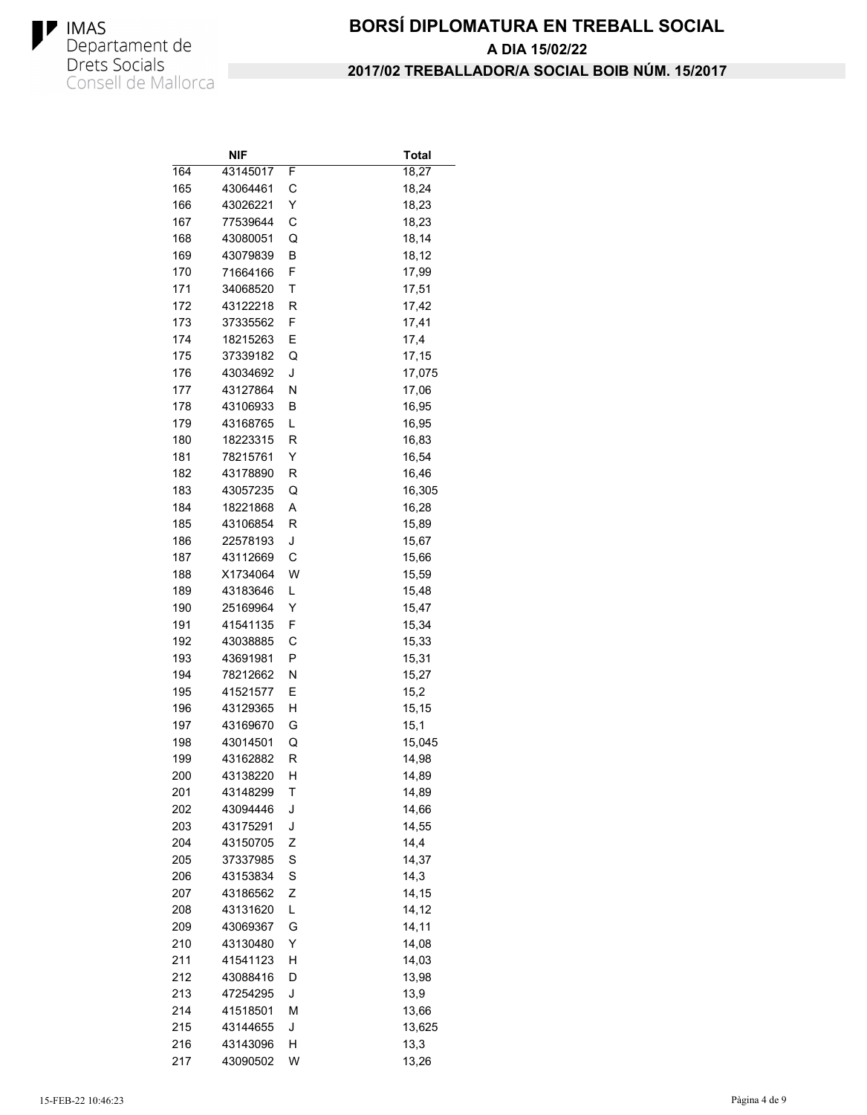

|     | NIF      |   | Total  |
|-----|----------|---|--------|
| 164 | 43145017 | F | 18,27  |
| 165 | 43064461 | С | 18,24  |
| 166 | 43026221 | Y | 18,23  |
| 167 | 77539644 | С | 18,23  |
| 168 | 43080051 | Q | 18,14  |
| 169 | 43079839 | В | 18,12  |
| 170 | 71664166 | F | 17,99  |
| 171 | 34068520 | т | 17,51  |
| 172 | 43122218 | R | 17,42  |
| 173 | 37335562 | F | 17,41  |
| 174 | 18215263 | Ε | 17,4   |
| 175 | 37339182 | Q | 17,15  |
| 176 | 43034692 | J | 17,075 |
| 177 | 43127864 | Ν | 17,06  |
| 178 | 43106933 | В | 16,95  |
| 179 | 43168765 | L | 16,95  |
| 180 | 18223315 | R | 16,83  |
| 181 | 78215761 | Y | 16,54  |
| 182 | 43178890 | R | 16,46  |
| 183 | 43057235 | Q | 16,305 |
| 184 | 18221868 | Α | 16,28  |
| 185 | 43106854 | R | 15,89  |
| 186 | 22578193 | J | 15,67  |
| 187 | 43112669 | С | 15,66  |
| 188 | X1734064 | W | 15,59  |
| 189 | 43183646 | L | 15,48  |
| 190 | 25169964 | Υ | 15,47  |
| 191 | 41541135 | F | 15,34  |
| 192 | 43038885 | С | 15,33  |
| 193 | 43691981 | Ρ | 15,31  |
| 194 | 78212662 | Ν | 15,27  |
| 195 | 41521577 | Ε | 15,2   |
| 196 | 43129365 | Н | 15,15  |
| 197 | 43169670 | G | 15,1   |
| 198 | 43014501 | Q | 15,045 |
| 199 | 43162882 | R | 14,98  |
| 200 | 43138220 | н | 14,89  |
| 201 | 43148299 | T | 14,89  |
| 202 | 43094446 | J | 14,66  |
| 203 | 43175291 | J | 14,55  |
| 204 | 43150705 | Ζ | 14,4   |
| 205 | 37337985 | S | 14,37  |
| 206 | 43153834 | S | 14,3   |
| 207 | 43186562 | Ζ | 14,15  |
| 208 | 43131620 | Г | 14,12  |
| 209 | 43069367 | G | 14,11  |
| 210 | 43130480 | Υ | 14,08  |
|     |          |   |        |
| 211 | 41541123 | н | 14,03  |
| 212 | 43088416 | D | 13,98  |
| 213 | 47254295 | J | 13,9   |
| 214 | 41518501 | М | 13,66  |
| 215 | 43144655 | J | 13,625 |
| 216 | 43143096 | н | 13,3   |
| 217 | 43090502 | W | 13,26  |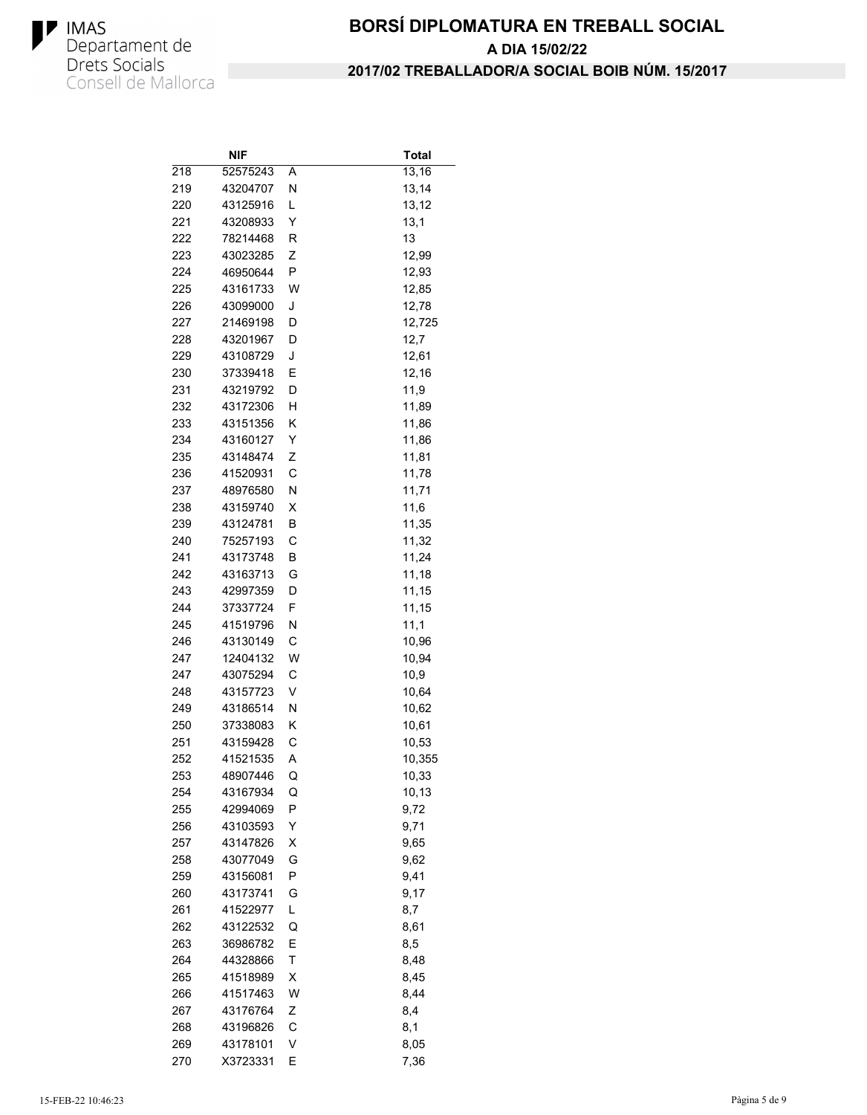

|     | NIF      |   | Total  |
|-----|----------|---|--------|
| 218 | 52575243 | Α | 13,16  |
| 219 | 43204707 | Ν | 13,14  |
| 220 | 43125916 | L | 13,12  |
| 221 | 43208933 | Y | 13,1   |
| 222 | 78214468 | R | 13     |
| 223 | 43023285 | Ζ | 12,99  |
| 224 | 46950644 | P | 12,93  |
| 225 | 43161733 | W | 12,85  |
| 226 | 43099000 | J | 12,78  |
| 227 | 21469198 | D | 12,725 |
| 228 | 43201967 | D | 12,7   |
| 229 | 43108729 | J | 12,61  |
| 230 | 37339418 | Ε | 12,16  |
| 231 | 43219792 | D | 11,9   |
| 232 | 43172306 | н | 11,89  |
| 233 | 43151356 | Κ | 11,86  |
| 234 | 43160127 | Υ | 11,86  |
| 235 | 43148474 | Ζ | 11,81  |
| 236 | 41520931 | C | 11,78  |
| 237 | 48976580 | N | 11,71  |
| 238 | 43159740 | X | 11,6   |
| 239 | 43124781 | В | 11,35  |
| 240 | 75257193 | C | 11,32  |
| 241 | 43173748 | В | 11,24  |
| 242 | 43163713 | G | 11,18  |
| 243 | 42997359 | D | 11,15  |
| 244 | 37337724 | F | 11,15  |
| 245 | 41519796 | Ν | 11,1   |
| 246 | 43130149 | C | 10,96  |
| 247 | 12404132 | W | 10,94  |
| 247 | 43075294 | C | 10,9   |
| 248 | 43157723 | V | 10,64  |
| 249 | 43186514 | Ν | 10,62  |
| 250 | 37338083 | Κ | 10,61  |
| 251 | 43159428 | C | 10,53  |
| 252 | 41521535 | Α | 10,355 |
| 253 | 48907446 | Q | 10,33  |
| 254 | 43167934 | Q | 10,13  |
| 255 | 42994069 | Ρ | 9,72   |
| 256 | 43103593 | Y | 9,71   |
| 257 | 43147826 | X | 9,65   |
| 258 | 43077049 | G | 9,62   |
| 259 | 43156081 | P | 9,41   |
| 260 | 43173741 | G | 9,17   |
| 261 | 41522977 | Г | 8,7    |
| 262 | 43122532 | Q | 8,61   |
| 263 | 36986782 | Ε | 8,5    |
| 264 | 44328866 | Τ | 8,48   |
| 265 | 41518989 | Χ | 8,45   |
| 266 | 41517463 | W | 8,44   |
| 267 | 43176764 | Ζ | 8,4    |
| 268 | 43196826 | С | 8,1    |
| 269 | 43178101 | V | 8,05   |
| 270 | X3723331 | Ε | 7,36   |
|     |          |   |        |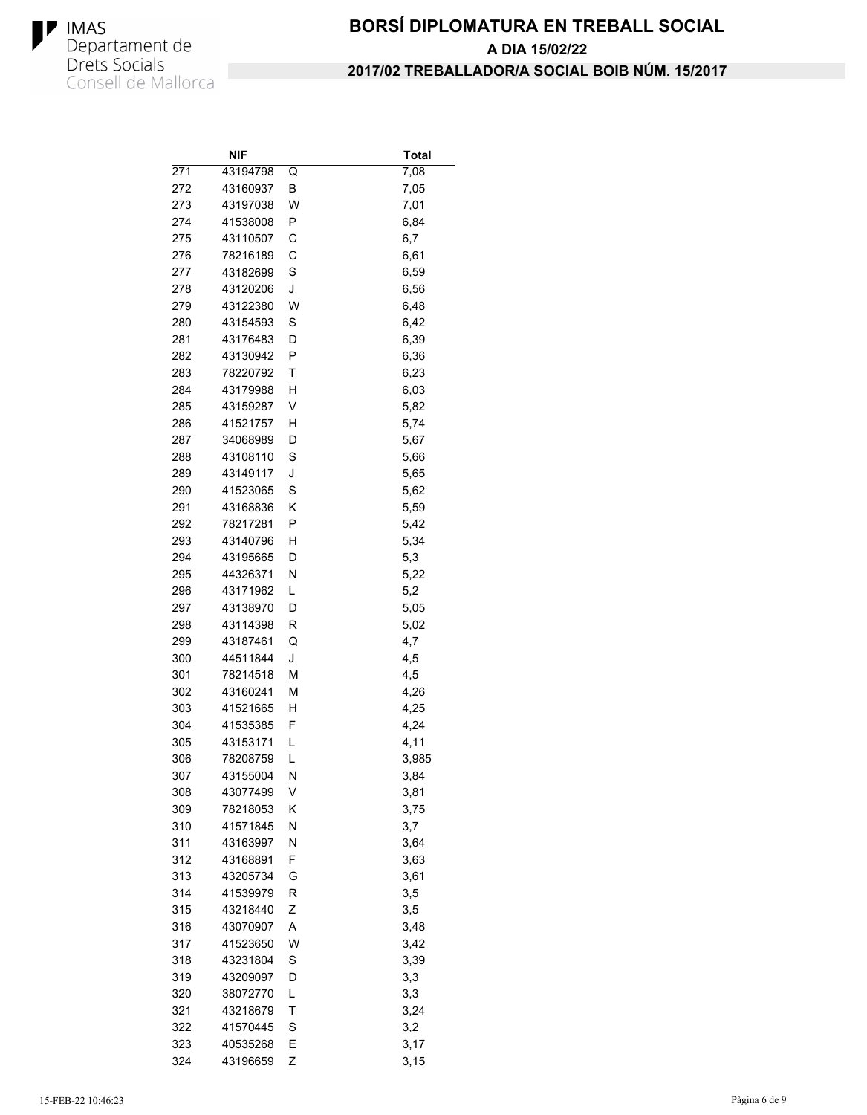

|            | NIF                  |        | Total      |
|------------|----------------------|--------|------------|
| 271        | 43194798             | Q      | 7,08       |
| 272        | 43160937             | В      | 7,05       |
| 273        | 43197038             | W      | 7,01       |
| 274        | 41538008             | Ρ      | 6,84       |
| 275        | 43110507             | С      | 6,7        |
| 276        | 78216189             | C      | 6,61       |
| 277        | 43182699             | S      | 6,59       |
| 278        | 43120206             | J      | 6,56       |
| 279        | 43122380             | W      | 6,48       |
| 280        | 43154593             | S      | 6,42       |
| 281        | 43176483             | D      | 6,39       |
| 282        | 43130942             | P      | 6,36       |
| 283        | 78220792             | Τ      | 6,23       |
| 284        | 43179988             | Η      | 6,03       |
| 285        | 43159287             | V      | 5,82       |
| 286        | 41521757             | Η      | 5,74       |
| 287        | 34068989             | D      | 5,67       |
| 288        | 43108110             | S      | 5,66       |
| 289        | 43149117             | J      | 5,65       |
| 290        | 41523065             | S      | 5,62       |
| 291        | 43168836             | Κ      | 5,59       |
| 292        | 78217281             | Ρ      | 5,42       |
| 293        | 43140796             | Н      | 5,34       |
| 294        | 43195665             | D      | 5,3        |
| 295        | 44326371             | Ν      | 5,22       |
| 296        | 43171962             | L      | 5,2        |
| 297        | 43138970             | D      | 5,05       |
| 298        | 43114398             | R      | 5,02       |
| 299        | 43187461             | Q      | 4,7        |
| 300        | 44511844             | J      | 4,5        |
| 301        | 78214518             | М      | 4,5        |
| 302        | 43160241             | М      | 4,26       |
| 303        | 41521665             | н      | 4,25       |
| 304        | 41535385             | F      | 4,24       |
| 305        | 43153171             | L      | 4,11       |
| 306        | 78208759             | L      | 3,985      |
| 307        | 43155004             | Ν      | 3,84       |
| 308        | 43077499             | ٧      | 3,81       |
| 309        | 78218053             | Κ      | 3,75       |
| 310        | 41571845             | Ν      | 3,7        |
| 311        | 43163997             |        |            |
|            |                      | N      | 3,64       |
| 312<br>313 | 43168891<br>43205734 | F      | 3,63       |
|            |                      | G      | 3,61       |
| 314        | 41539979             | R      | 3,5<br>3,5 |
| 315        | 43218440             | Ζ<br>A |            |
| 316        | 43070907             |        | 3,48       |
| 317        | 41523650             | W      | 3,42       |
| 318        | 43231804             | S      | 3,39       |
| 319        | 43209097             | D      | 3,3        |
| 320        | 38072770             | L      | 3,3        |
| 321        | 43218679             | Τ      | 3,24       |
| 322        | 41570445             | S      | 3,2        |
| 323        | 40535268             | E      | 3,17       |
| 324        | 43196659             | Ζ      | 3,15       |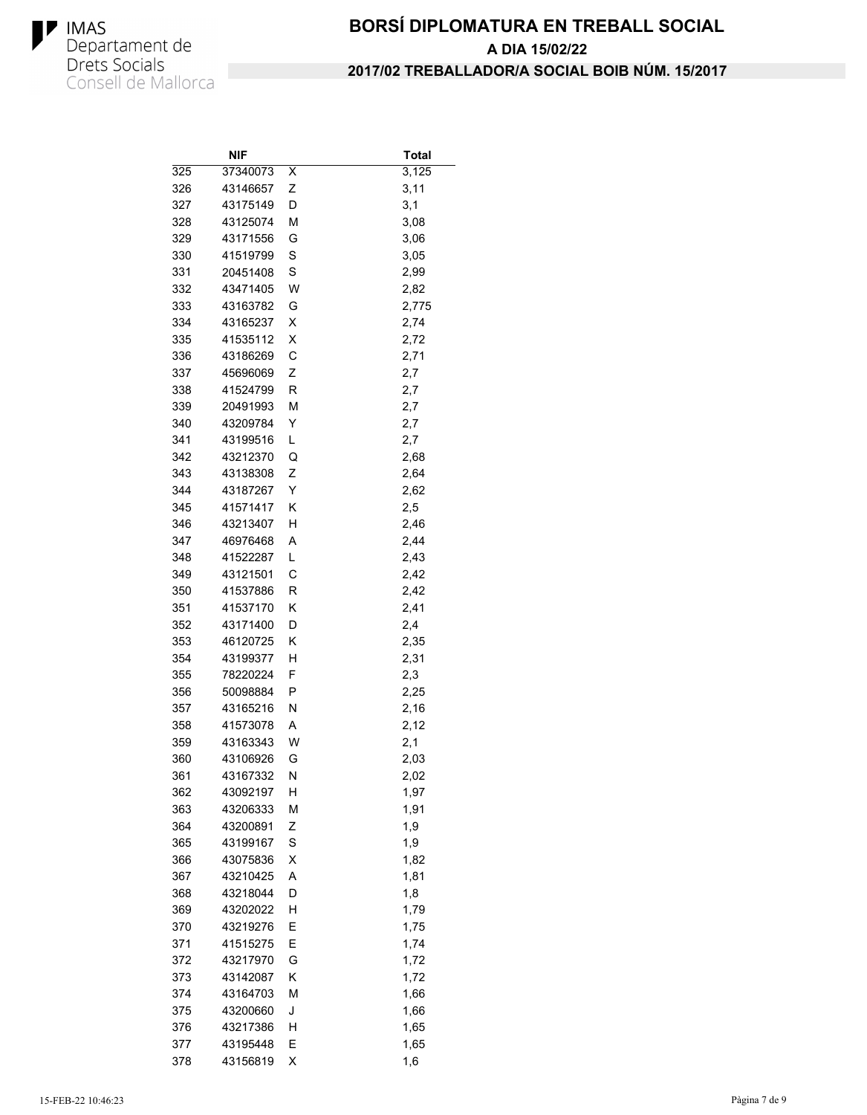

|            | NIF      |   | <b>Total</b> |
|------------|----------|---|--------------|
| 325        | 37340073 | Χ | 3,125        |
| 326        | 43146657 | Ζ | 3,11         |
| 327        | 43175149 | D | 3,1          |
| 328        | 43125074 | М | 3,08         |
| 329        | 43171556 | G | 3,06         |
| 330        | 41519799 | S | 3,05         |
| 331        | 20451408 | S | 2,99         |
| 332        | 43471405 | W | 2,82         |
| 333        | 43163782 | G | 2,775        |
| 334        | 43165237 | Χ | 2,74         |
| 335        | 41535112 | X | 2,72         |
| 336        | 43186269 | C | 2,71         |
| 337        | 45696069 | Ζ | 2,7          |
| 338        | 41524799 | R | 2,7          |
| 339        | 20491993 | М | 2,7          |
| 340        | 43209784 | Υ | 2,7          |
| 341        | 43199516 | L | 2,7          |
| 342        | 43212370 | Q | 2,68         |
| 343        | 43138308 | Ζ | 2,64         |
| 344        | 43187267 | Y | 2,62         |
| 345        | 41571417 | Κ | 2,5          |
| 346        | 43213407 | Η | 2,46         |
| 347        | 46976468 | Α | 2,44         |
| 348        | 41522287 | L | 2,43         |
| 349        | 43121501 | C | 2,42         |
| 350        | 41537886 | R | 2,42         |
| 351        | 41537170 | Κ | 2,41         |
| 352        | 43171400 | D | 2,4          |
| 353        | 46120725 | Κ | 2,35         |
| 354        | 43199377 | Н | 2,31         |
| 355        | 78220224 | F | 2,3          |
| 356        | 50098884 | P | 2,25         |
| 357        | 43165216 | Ν | 2,16         |
| 358        | 41573078 | Α | 2,12         |
| 359        | 43163343 | W | 2,1          |
| 360        | 43106926 | G | 2,03         |
| 361        | 43167332 | Ν | 2,02         |
| 362        | 43092197 | Н | 1,97         |
| 363        | 43206333 | м | 1,91         |
| 364        | 43200891 | Ζ | 1,9          |
| 365        | 43199167 | S | 1,9          |
| 366        | 43075836 | Χ | 1,82         |
| 367        | 43210425 | A | 1,81         |
| 368        | 43218044 | D | 1,8          |
| 369        | 43202022 | Η | 1,79         |
| 370        | 43219276 | E | 1,75         |
| 371        | 41515275 | Ε | 1,74         |
| 372        | 43217970 | G | 1,72         |
| 373        | 43142087 | Κ | 1,72         |
| 374        | 43164703 | M | 1,66         |
| 375        | 43200660 | J | 1,66         |
|            | 43217386 | н |              |
| 376<br>377 | 43195448 |   | 1,65         |
|            |          | Ε | 1,65         |
| 378        | 43156819 | Χ | 1,6          |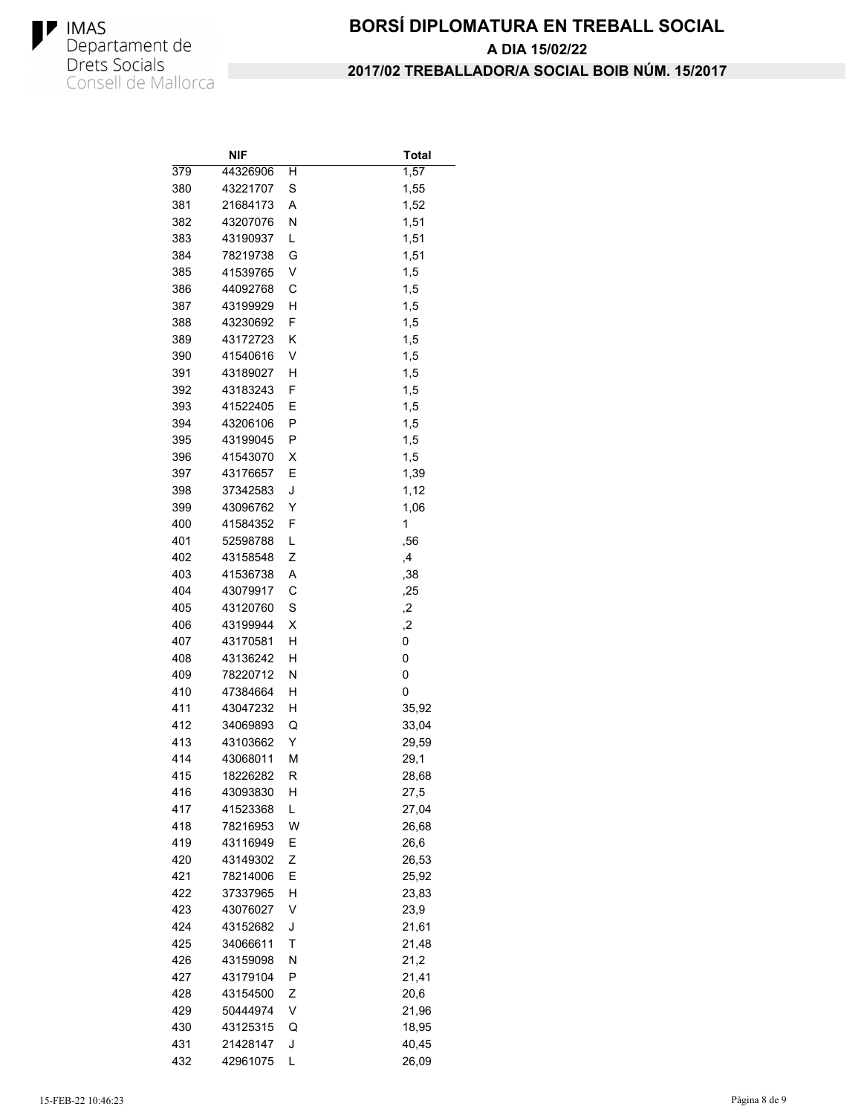

|     | NIF      |   | Total |
|-----|----------|---|-------|
| 379 | 44326906 | н | 1,57  |
| 380 | 43221707 | S | 1,55  |
| 381 | 21684173 | A | 1,52  |
| 382 | 43207076 | Ν | 1,51  |
| 383 | 43190937 | L | 1,51  |
| 384 | 78219738 | G | 1,51  |
| 385 | 41539765 | V | 1,5   |
| 386 | 44092768 | С | 1,5   |
| 387 | 43199929 | н | 1,5   |
| 388 | 43230692 | F | 1,5   |
| 389 | 43172723 | κ | 1,5   |
| 390 | 41540616 | V | 1,5   |
| 391 | 43189027 | н | 1,5   |
| 392 | 43183243 | F | 1,5   |
| 393 | 41522405 | Ε | 1,5   |
| 394 | 43206106 | Ρ | 1,5   |
| 395 | 43199045 | Ρ | 1,5   |
| 396 | 41543070 | х | 1,5   |
| 397 | 43176657 | Ε | 1,39  |
| 398 | 37342583 | J | 1,12  |
| 399 | 43096762 | Y | 1,06  |
| 400 | 41584352 | F | 1     |
| 401 | 52598788 | L | ,56   |
| 402 | 43158548 | Ζ | ,4    |
| 403 | 41536738 | Α | ,38   |
| 404 | 43079917 | С | ,25   |
| 405 | 43120760 | S | 2,    |
| 406 | 43199944 | х | ,2    |
| 407 | 43170581 | н | 0     |
| 408 | 43136242 | н | 0     |
| 409 | 78220712 | Ν | 0     |
| 410 | 47384664 | н | 0     |
| 411 | 43047232 | н | 35,92 |
| 412 | 34069893 | Q | 33,04 |
| 413 | 43103662 | Υ | 29,59 |
| 414 | 43068011 | М | 29,1  |
| 415 | 18226282 | R | 28,68 |
| 416 | 43093830 | Н | 27,5  |
| 417 | 41523368 | L | 27,04 |
| 418 | 78216953 | W | 26,68 |
| 419 | 43116949 | Ε | 26,6  |
| 420 | 43149302 | Ζ | 26,53 |
| 421 | 78214006 | Ε | 25,92 |
| 422 | 37337965 | Н | 23,83 |
| 423 | 43076027 | ٧ | 23,9  |
| 424 | 43152682 | J | 21,61 |
| 425 | 34066611 | Τ | 21,48 |
| 426 | 43159098 | N | 21,2  |
| 427 | 43179104 | Ρ | 21,41 |
| 428 | 43154500 | Ζ | 20,6  |
| 429 | 50444974 | V | 21,96 |
| 430 | 43125315 | Q | 18,95 |
| 431 | 21428147 | J | 40,45 |
| 432 | 42961075 | L | 26,09 |
|     |          |   |       |